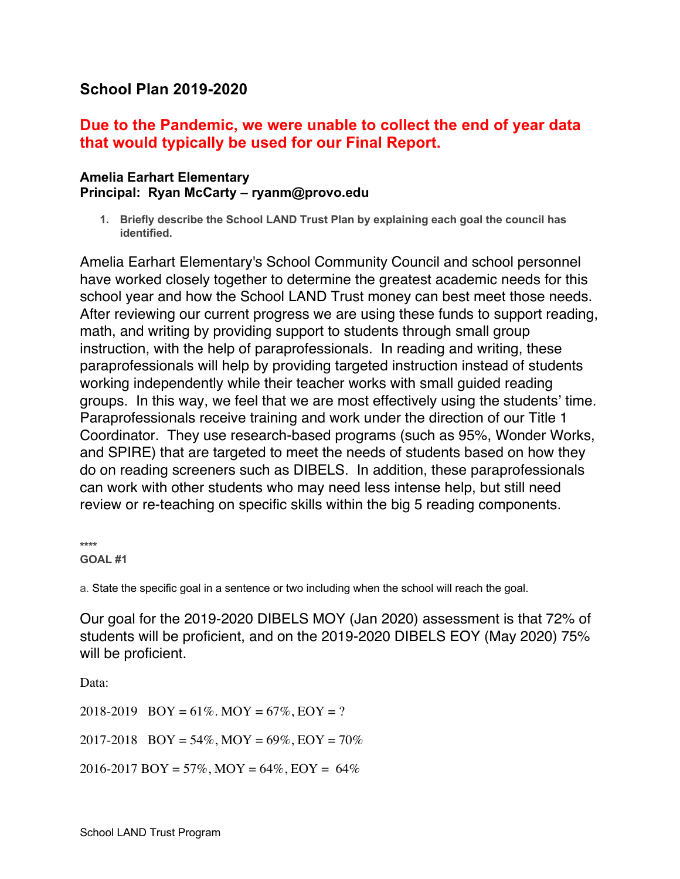## **School Plan 2019-2020**

## **Due to the Pandemic, we were unable to collect the end of year data that would typically be used for our Final Report.**

## **Amelia Earhart Elementary Principal: Ryan McCarty – ryanm@provo.edu**

**1. Briefly describe the School LAND Trust Plan by explaining each goal the council has identified.**

Amelia Earhart Elementary's School Community Council and school personnel have worked closely together to determine the greatest academic needs for this school year and how the School LAND Trust money can best meet those needs. After reviewing our current progress we are using these funds to support reading, math, and writing by providing support to students through small group instruction, with the help of paraprofessionals. In reading and writing, these paraprofessionals will help by providing targeted instruction instead of students working independently while their teacher works with small guided reading groups. In this way, we feel that we are most effectively using the students' time. Paraprofessionals receive training and work under the direction of our Title 1 Coordinator. They use research-based programs (such as 95%, Wonder Works, and SPIRE) that are targeted to meet the needs of students based on how they do on reading screeners such as DIBELS. In addition, these paraprofessionals can work with other students who may need less intense help, but still need review or re-teaching on specific skills within the big 5 reading components.

**\*\*\*\* GOAL #1**

a. State the specific goal in a sentence or two including when the school will reach the goal.

Our goal for the 2019-2020 DIBELS MOY (Jan 2020) assessment is that 72% of students will be proficient, and on the 2019-2020 DIBELS EOY (May 2020) 75% will be proficient.

Data:

2018-2019  $BOY = 61\%$ . MOY = 67%, EOY = ? 2017-2018  $\text{BOY} = 54\%, \text{MOY} = 69\%, \text{EOY} = 70\%$ 2016-2017 BOY = 57%, MOY = 64%, EOY = 64%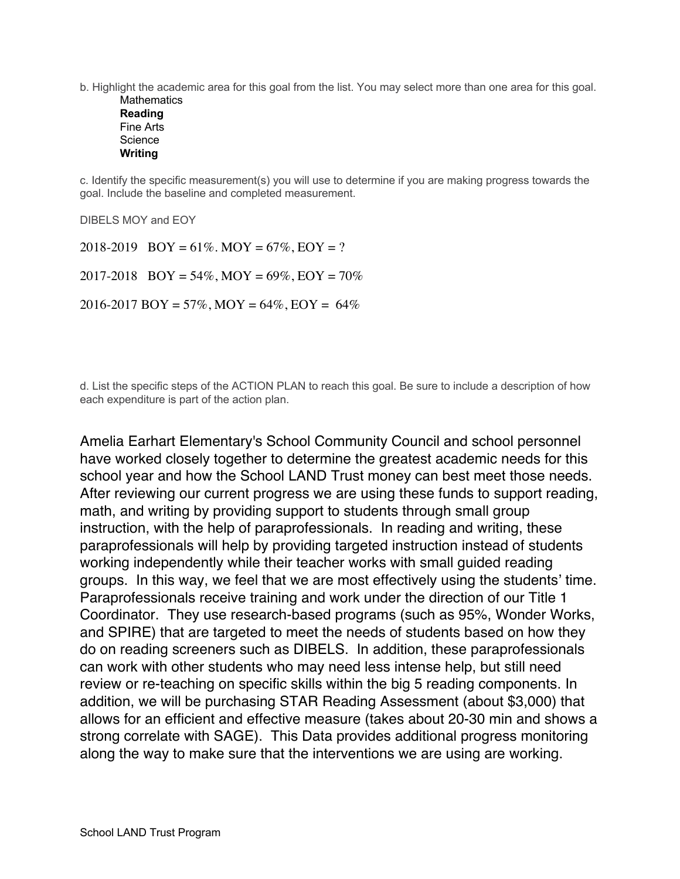b. Highlight the academic area for this goal from the list. You may select more than one area for this goal.

**Mathematics Reading** Fine Arts **Science Writing**

c. Identify the specific measurement(s) you will use to determine if you are making progress towards the goal. Include the baseline and completed measurement.

DIBELS MOY and EOY

2018-2019  $BOY = 61\%$ . MOY = 67%, EOY = ? 2017-2018  $\text{BOY} = 54\%, \text{MOY} = 69\%, \text{EOY} = 70\%$  $2016 - 2017$  BOY = 57%, MOY = 64%, EOY = 64%

d. List the specific steps of the ACTION PLAN to reach this goal. Be sure to include a description of how each expenditure is part of the action plan.

Amelia Earhart Elementary's School Community Council and school personnel have worked closely together to determine the greatest academic needs for this school year and how the School LAND Trust money can best meet those needs. After reviewing our current progress we are using these funds to support reading, math, and writing by providing support to students through small group instruction, with the help of paraprofessionals. In reading and writing, these paraprofessionals will help by providing targeted instruction instead of students working independently while their teacher works with small guided reading groups. In this way, we feel that we are most effectively using the students' time. Paraprofessionals receive training and work under the direction of our Title 1 Coordinator. They use research-based programs (such as 95%, Wonder Works, and SPIRE) that are targeted to meet the needs of students based on how they do on reading screeners such as DIBELS. In addition, these paraprofessionals can work with other students who may need less intense help, but still need review or re-teaching on specific skills within the big 5 reading components. In addition, we will be purchasing STAR Reading Assessment (about \$3,000) that allows for an efficient and effective measure (takes about 20-30 min and shows a strong correlate with SAGE). This Data provides additional progress monitoring along the way to make sure that the interventions we are using are working.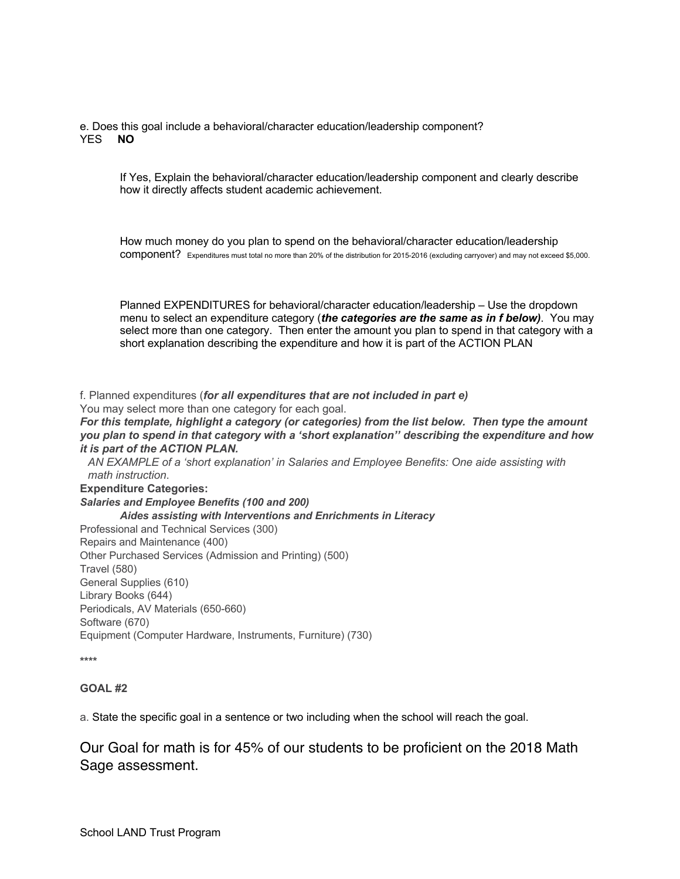e. Does this goal include a behavioral/character education/leadership component? YES **NO**

If Yes, Explain the behavioral/character education/leadership component and clearly describe how it directly affects student academic achievement.

How much money do you plan to spend on the behavioral/character education/leadership component? Expenditures must total no more than 20% of the distribution for 2015-2016 (excluding carryover) and may not exceed \$5,000.

Planned EXPENDITURES for behavioral/character education/leadership – Use the dropdown menu to select an expenditure category (*the categories are the same as in f below)*. You may select more than one category. Then enter the amount you plan to spend in that category with a short explanation describing the expenditure and how it is part of the ACTION PLAN

f. Planned expenditures (*for all expenditures that are not included in part e)* You may select more than one category for each goal.

*For this template, highlight a category (or categories) from the list below. Then type the amount you plan to spend in that category with a 'short explanation'' describing the expenditure and how it is part of the ACTION PLAN.* 

*AN EXAMPLE of a 'short explanation' in Salaries and Employee Benefits: One aide assisting with math instruction*.

**Expenditure Categories:** *Salaries and Employee Benefits (100 and 200) Aides assisting with Interventions and Enrichments in Literacy* Professional and Technical Services (300) Repairs and Maintenance (400) Other Purchased Services (Admission and Printing) (500) Travel (580) General Supplies (610) Library Books (644) Periodicals, AV Materials (650-660) Software (670) Equipment (Computer Hardware, Instruments, Furniture) (730)

**\*\*\*\***

## **GOAL #2**

a. State the specific goal in a sentence or two including when the school will reach the goal.

Our Goal for math is for 45% of our students to be proficient on the 2018 Math Sage assessment.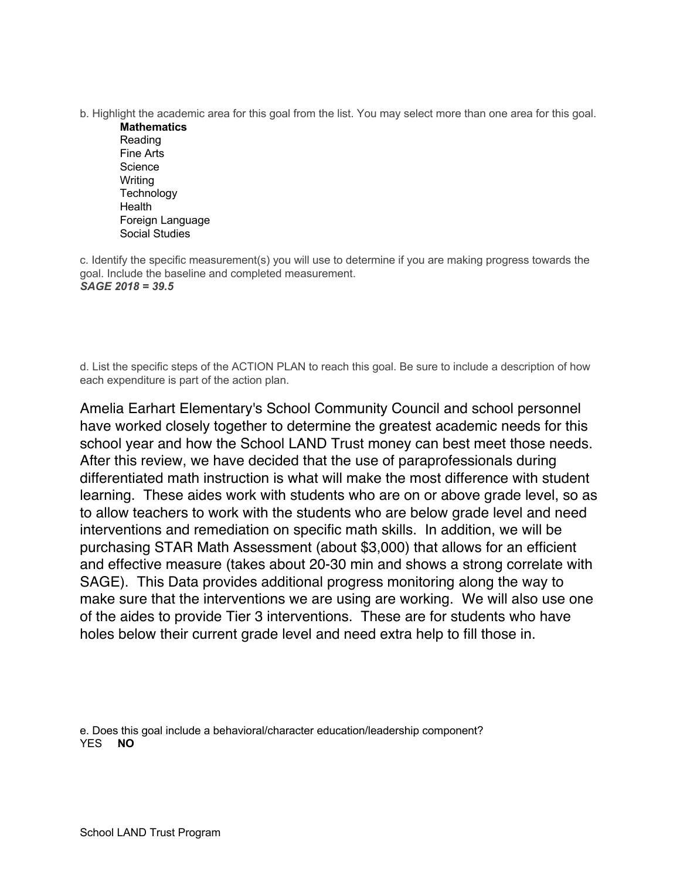- b. Highlight the academic area for this goal from the list. You may select more than one area for this goal.
	- **Mathematics** Reading Fine Arts **Science** Writing **Technology** Health Foreign Language Social Studies

c. Identify the specific measurement(s) you will use to determine if you are making progress towards the goal. Include the baseline and completed measurement. *SAGE 2018 = 39.5*

d. List the specific steps of the ACTION PLAN to reach this goal. Be sure to include a description of how each expenditure is part of the action plan.

Amelia Earhart Elementary's School Community Council and school personnel have worked closely together to determine the greatest academic needs for this school year and how the School LAND Trust money can best meet those needs. After this review, we have decided that the use of paraprofessionals during differentiated math instruction is what will make the most difference with student learning. These aides work with students who are on or above grade level, so as to allow teachers to work with the students who are below grade level and need interventions and remediation on specific math skills. In addition, we will be purchasing STAR Math Assessment (about \$3,000) that allows for an efficient and effective measure (takes about 20-30 min and shows a strong correlate with SAGE). This Data provides additional progress monitoring along the way to make sure that the interventions we are using are working. We will also use one of the aides to provide Tier 3 interventions. These are for students who have holes below their current grade level and need extra help to fill those in.

e. Does this goal include a behavioral/character education/leadership component? YES **NO**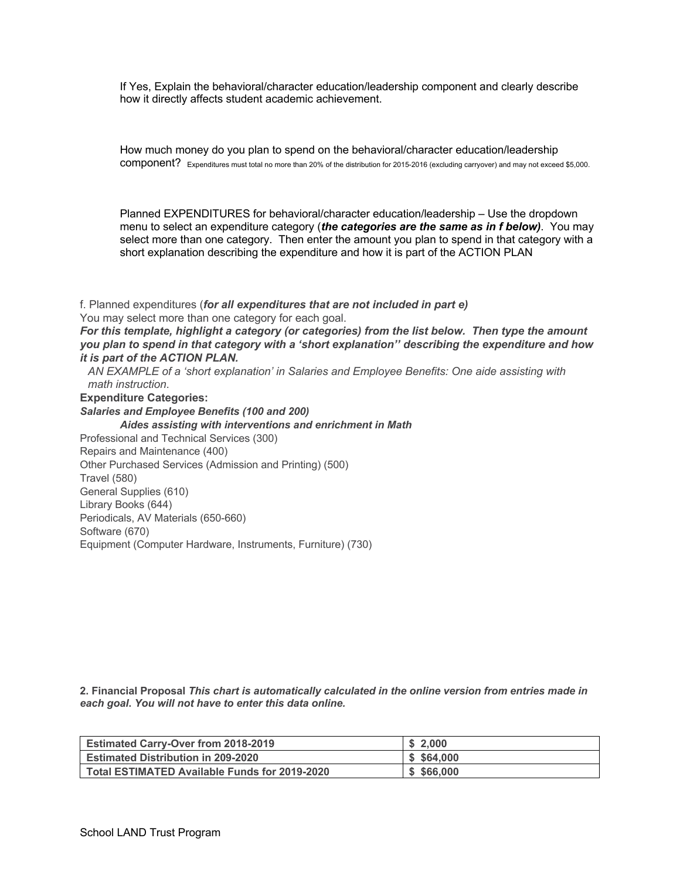If Yes, Explain the behavioral/character education/leadership component and clearly describe how it directly affects student academic achievement.

How much money do you plan to spend on the behavioral/character education/leadership component? Expenditures must total no more than 20% of the distribution for 2015-2016 (excluding carryover) and may not exceed \$5,000.

Planned EXPENDITURES for behavioral/character education/leadership – Use the dropdown menu to select an expenditure category (*the categories are the same as in f below)*. You may select more than one category. Then enter the amount you plan to spend in that category with a short explanation describing the expenditure and how it is part of the ACTION PLAN

f. Planned expenditures (*for all expenditures that are not included in part e)* You may select more than one category for each goal. *For this template, highlight a category (or categories) from the list below. Then type the amount you plan to spend in that category with a 'short explanation'' describing the expenditure and how it is part of the ACTION PLAN.* 

*AN EXAMPLE of a 'short explanation' in Salaries and Employee Benefits: One aide assisting with math instruction*.

**Expenditure Categories:**

*Salaries and Employee Benefits (100 and 200) Aides assisting with interventions and enrichment in Math* Professional and Technical Services (300) Repairs and Maintenance (400) Other Purchased Services (Admission and Printing) (500) Travel (580) General Supplies (610) Library Books (644) Periodicals, AV Materials (650-660) Software (670)

Equipment (Computer Hardware, Instruments, Furniture) (730)

**2. Financial Proposal** *This chart is automatically calculated in the online version from entries made in each goal***.** *You will not have to enter this data online.*

| <b>Estimated Carry-Over from 2018-2019</b>    | \$2.000    |
|-----------------------------------------------|------------|
| <b>Estimated Distribution in 209-2020</b>     | \$5,64.000 |
| Total ESTIMATED Available Funds for 2019-2020 | \$566,000  |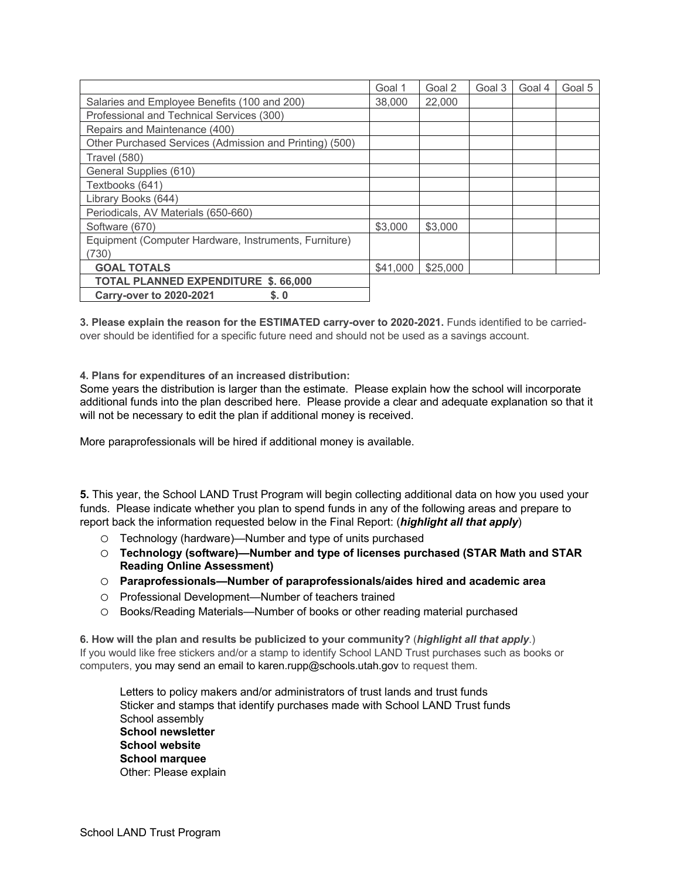|                                                         | Goal 1   | Goal 2   | Goal 3 | Goal 4 | Goal 5 |
|---------------------------------------------------------|----------|----------|--------|--------|--------|
| Salaries and Employee Benefits (100 and 200)            | 38,000   | 22,000   |        |        |        |
| Professional and Technical Services (300)               |          |          |        |        |        |
| Repairs and Maintenance (400)                           |          |          |        |        |        |
| Other Purchased Services (Admission and Printing) (500) |          |          |        |        |        |
| <b>Travel (580)</b>                                     |          |          |        |        |        |
| General Supplies (610)                                  |          |          |        |        |        |
| Textbooks (641)                                         |          |          |        |        |        |
| Library Books (644)                                     |          |          |        |        |        |
| Periodicals, AV Materials (650-660)                     |          |          |        |        |        |
| Software (670)                                          | \$3,000  | \$3,000  |        |        |        |
| Equipment (Computer Hardware, Instruments, Furniture)   |          |          |        |        |        |
| (730)                                                   |          |          |        |        |        |
| <b>GOAL TOTALS</b>                                      | \$41,000 | \$25,000 |        |        |        |
| <b>TOTAL PLANNED EXPENDITURE \$. 66,000</b>             |          |          |        |        |        |
| \$.0<br><b>Carry-over to 2020-2021</b>                  |          |          |        |        |        |

**3. Please explain the reason for the ESTIMATED carry-over to 2020-2021.** Funds identified to be carriedover should be identified for a specific future need and should not be used as a savings account.

**4. Plans for expenditures of an increased distribution:**

Some years the distribution is larger than the estimate. Please explain how the school will incorporate additional funds into the plan described here. Please provide a clear and adequate explanation so that it will not be necessary to edit the plan if additional money is received.

More paraprofessionals will be hired if additional money is available.

**5.** This year, the School LAND Trust Program will begin collecting additional data on how you used your funds. Please indicate whether you plan to spend funds in any of the following areas and prepare to report back the information requested below in the Final Report: (*highlight all that apply*)

- o Technology (hardware)—Number and type of units purchased
- o **Technology (software)—Number and type of licenses purchased (STAR Math and STAR Reading Online Assessment)**
- o **Paraprofessionals—Number of paraprofessionals/aides hired and academic area**
- o Professional Development—Number of teachers trained
- o Books/Reading Materials—Number of books or other reading material purchased

**6. How will the plan and results be publicized to your community?** (*highlight all that apply*.) If you would like free stickers and/or a stamp to identify School LAND Trust purchases such as books or computers, you may send an email to karen.rupp@schools.utah.gov to request them.

Letters to policy makers and/or administrators of trust lands and trust funds Sticker and stamps that identify purchases made with School LAND Trust funds School assembly **School newsletter School website School marquee** Other: Please explain